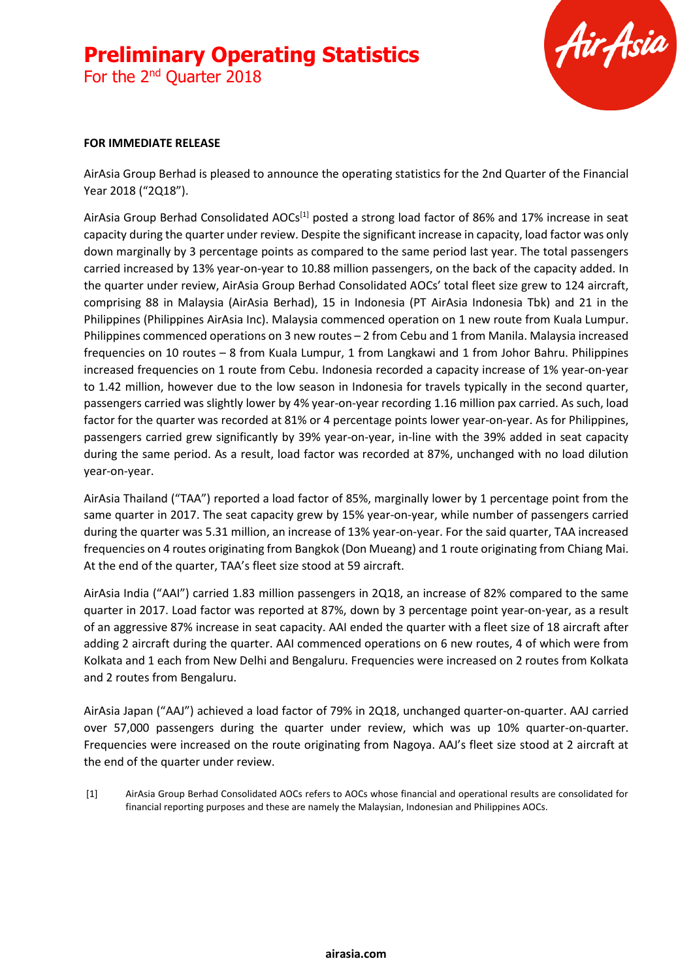For the 2<sup>nd</sup> Quarter 2018



#### **FOR IMMEDIATE RELEASE**

AirAsia Group Berhad is pleased to announce the operating statistics for the 2nd Quarter of the Financial Year 2018 ("2Q18").

AirAsia Group Berhad Consolidated AOCs<sup>[1]</sup> posted a strong load factor of 86% and 17% increase in seat capacity during the quarter under review. Despite the significant increase in capacity, load factor was only down marginally by 3 percentage points as compared to the same period last year. The total passengers carried increased by 13% year-on-year to 10.88 million passengers, on the back of the capacity added. In the quarter under review, AirAsia Group Berhad Consolidated AOCs' total fleet size grew to 124 aircraft, comprising 88 in Malaysia (AirAsia Berhad), 15 in Indonesia (PT AirAsia Indonesia Tbk) and 21 in the Philippines (Philippines AirAsia Inc). Malaysia commenced operation on 1 new route from Kuala Lumpur. Philippines commenced operations on 3 new routes – 2 from Cebu and 1 from Manila. Malaysia increased frequencies on 10 routes – 8 from Kuala Lumpur, 1 from Langkawi and 1 from Johor Bahru. Philippines increased frequencies on 1 route from Cebu. Indonesia recorded a capacity increase of 1% year-on-year to 1.42 million, however due to the low season in Indonesia for travels typically in the second quarter, passengers carried was slightly lower by 4% year-on-year recording 1.16 million pax carried. As such, load factor for the quarter was recorded at 81% or 4 percentage points lower year-on-year. As for Philippines, passengers carried grew significantly by 39% year-on-year, in-line with the 39% added in seat capacity during the same period. As a result, load factor was recorded at 87%, unchanged with no load dilution year-on-year.

AirAsia Thailand ("TAA") reported a load factor of 85%, marginally lower by 1 percentage point from the same quarter in 2017. The seat capacity grew by 15% year-on-year, while number of passengers carried during the quarter was 5.31 million, an increase of 13% year-on-year. For the said quarter, TAA increased frequencies on 4 routes originating from Bangkok (Don Mueang) and 1 route originating from Chiang Mai. At the end of the quarter, TAA's fleet size stood at 59 aircraft.

AirAsia India ("AAI") carried 1.83 million passengers in 2Q18, an increase of 82% compared to the same quarter in 2017. Load factor was reported at 87%, down by 3 percentage point year-on-year, as a result of an aggressive 87% increase in seat capacity. AAI ended the quarter with a fleet size of 18 aircraft after adding 2 aircraft during the quarter. AAI commenced operations on 6 new routes, 4 of which were from Kolkata and 1 each from New Delhi and Bengaluru. Frequencies were increased on 2 routes from Kolkata and 2 routes from Bengaluru.

AirAsia Japan ("AAJ") achieved a load factor of 79% in 2Q18, unchanged quarter-on-quarter. AAJ carried over 57,000 passengers during the quarter under review, which was up 10% quarter-on-quarter. Frequencies were increased on the route originating from Nagoya. AAJ's fleet size stood at 2 aircraft at the end of the quarter under review.

[1] AirAsia Group Berhad Consolidated AOCs refers to AOCs whose financial and operational results are consolidated for financial reporting purposes and these are namely the Malaysian, Indonesian and Philippines AOCs.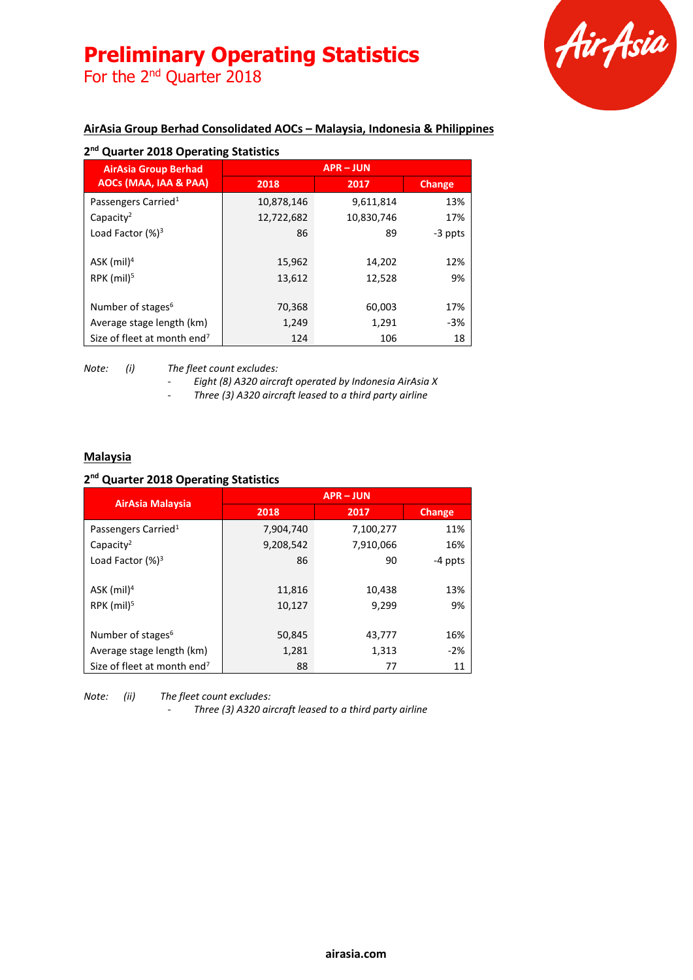For the 2<sup>nd</sup> Quarter 2018



### **AirAsia Group Berhad Consolidated AOCs – Malaysia, Indonesia & Philippines**

| <b>AirAsia Group Berhad</b><br>AOCs (MAA, IAA & PAA) | <b>APR-JUN</b> |            |         |
|------------------------------------------------------|----------------|------------|---------|
|                                                      | 2018           | 2017       | Change  |
| Passengers Carried <sup>1</sup>                      | 10,878,146     | 9,611,814  | 13%     |
| Capacity <sup>2</sup>                                | 12,722,682     | 10,830,746 | 17%     |
| Load Factor $(%)^3$                                  | 86             | 89         | -3 ppts |
| $ASK$ (mil) <sup>4</sup>                             | 15,962         | 14,202     | 12%     |
| RPK $(mil)5$                                         | 13,612         | 12,528     | 9%      |
| Number of stages <sup>6</sup>                        | 70,368         | 60,003     | 17%     |
| Average stage length (km)                            | 1,249          | 1,291      | $-3%$   |
| Size of fleet at month end <sup>7</sup>              | 124            | 106        | 18      |

*Note: (i) The fleet count excludes:*

*- Eight (8) A320 aircraft operated by Indonesia AirAsia X*

*- Three (3) A320 aircraft leased to a third party airline*

#### **Malaysia**

#### **2 nd Quarter 2018 Operating Statistics**

| <b>AirAsia Malaysia</b>                 | <b>APR-JUN</b> |           |               |
|-----------------------------------------|----------------|-----------|---------------|
|                                         | 2018           | 2017      | <b>Change</b> |
| Passengers Carried <sup>1</sup>         | 7,904,740      | 7,100,277 | 11%           |
| Capacity <sup>2</sup>                   | 9,208,542      | 7,910,066 | 16%           |
| Load Factor $(%)^3$                     | 86             | 90        | -4 ppts       |
|                                         |                |           |               |
| $ASK$ (mil) <sup>4</sup>                | 11,816         | 10,438    | 13%           |
| RPK $(mil)5$                            | 10,127         | 9,299     | 9%            |
|                                         |                |           |               |
| Number of stages <sup>6</sup>           | 50,845         | 43,777    | 16%           |
| Average stage length (km)               | 1,281          | 1,313     | $-2%$         |
| Size of fleet at month end <sup>7</sup> | 88             | 77        | 11            |

*Note: (ii) The fleet count excludes:*

*- Three (3) A320 aircraft leased to a third party airline*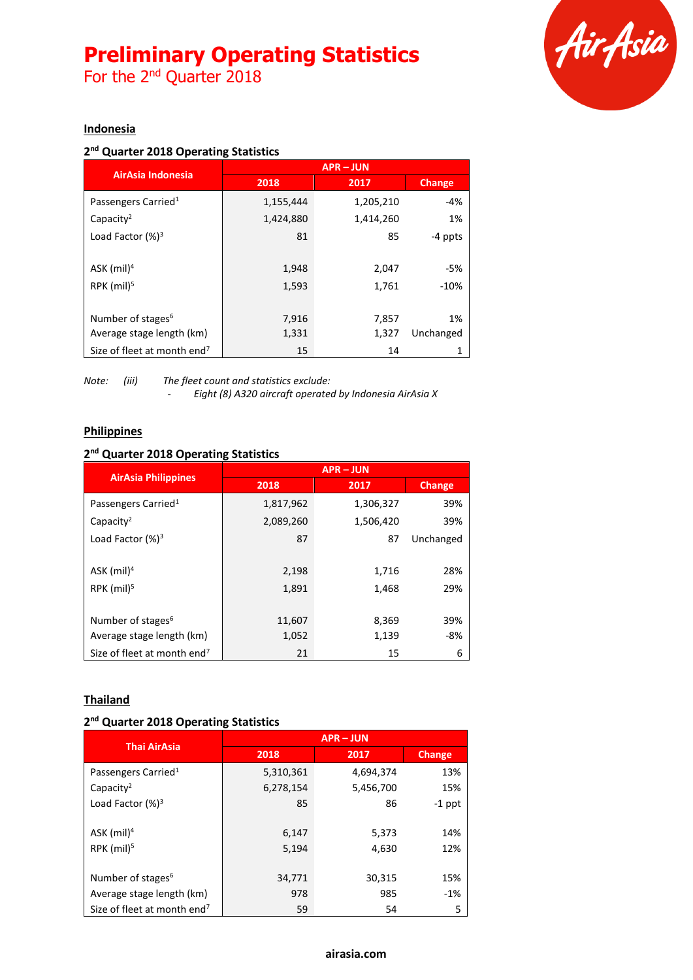For the 2<sup>nd</sup> Quarter 2018



#### **Indonesia**

#### **2 nd Quarter 2018 Operating Statistics**

| AirAsia Indonesia                       | <b>APR-JUN</b> |           |               |
|-----------------------------------------|----------------|-----------|---------------|
|                                         | 2018           | 2017      | <b>Change</b> |
| Passengers Carried <sup>1</sup>         | 1,155,444      | 1,205,210 | $-4%$         |
| Capacity <sup>2</sup>                   | 1,424,880      | 1,414,260 | 1%            |
| Load Factor $(%)^3$                     | 81             | 85        | -4 ppts       |
|                                         |                |           |               |
| ASK $(mil)^4$                           | 1,948          | 2,047     | -5%           |
| RPK $(mil)5$                            | 1,593          | 1,761     | $-10%$        |
|                                         |                |           |               |
| Number of stages <sup>6</sup>           | 7,916          | 7,857     | 1%            |
| Average stage length (km)               | 1,331          | 1,327     | Unchanged     |
| Size of fleet at month end <sup>7</sup> | 15             | 14        |               |

*Note: (iii) The fleet count and statistics exclude: - Eight (8) A320 aircraft operated by Indonesia AirAsia X*

#### **Philippines**

#### **2 nd Quarter 2018 Operating Statistics**

| <b>AirAsia Philippines</b>              | $APR - JUN$ |           |           |
|-----------------------------------------|-------------|-----------|-----------|
|                                         | 2018        | 2017      | Change    |
| Passengers Carried <sup>1</sup>         | 1,817,962   | 1,306,327 | 39%       |
| Capacity <sup>2</sup>                   | 2,089,260   | 1,506,420 | 39%       |
| Load Factor $(%)^3$                     | 87          | 87        | Unchanged |
|                                         |             |           |           |
| ASK $(mil)^4$                           | 2,198       | 1,716     | 28%       |
| RPK (mil) <sup>5</sup>                  | 1,891       | 1,468     | 29%       |
|                                         |             |           |           |
| Number of stages <sup>6</sup>           | 11,607      | 8,369     | 39%       |
| Average stage length (km)               | 1,052       | 1,139     | -8%       |
| Size of fleet at month end <sup>7</sup> | 21          | 15        | 6         |

#### **Thailand**

#### **2 nd Quarter 2018 Operating Statistics**

| <b>Thai AirAsia</b>                     | <b>APR-JUN</b> |           |               |
|-----------------------------------------|----------------|-----------|---------------|
|                                         | 2018           | 2017      | <b>Change</b> |
| Passengers Carried <sup>1</sup>         | 5,310,361      | 4,694,374 | 13%           |
| Capacity <sup>2</sup>                   | 6,278,154      | 5,456,700 | 15%           |
| Load Factor $(%)^3$                     | 85             | 86        | $-1$ ppt      |
|                                         |                |           |               |
| $ASK$ (mil) <sup>4</sup>                | 6,147          | 5,373     | 14%           |
| RPK $(mil)^5$                           | 5,194          | 4,630     | 12%           |
|                                         |                |           |               |
| Number of stages <sup>6</sup>           | 34,771         | 30,315    | 15%           |
| Average stage length (km)               | 978            | 985       | $-1%$         |
| Size of fleet at month end <sup>7</sup> | 59             | 54        | 5             |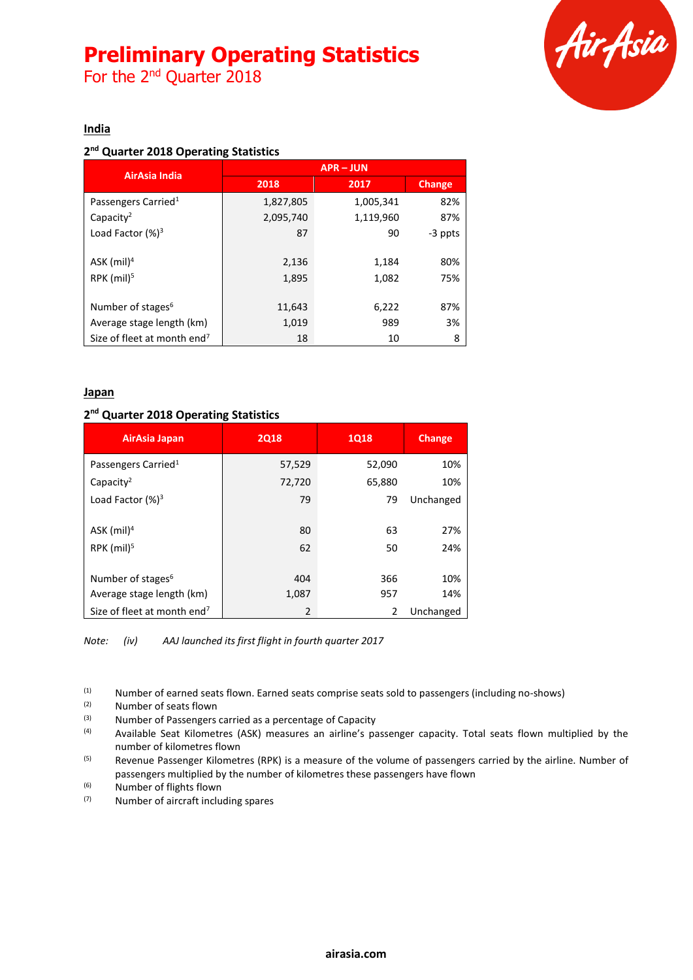For the 2<sup>nd</sup> Quarter 2018



#### **India**

#### **2 nd Quarter 2018 Operating Statistics**

| AirAsia India                           | <b>APR-JUN</b> |           |         |
|-----------------------------------------|----------------|-----------|---------|
|                                         | 2018           | 2017      | Change  |
| Passengers Carried <sup>1</sup>         | 1,827,805      | 1,005,341 | 82%     |
| Capacity <sup>2</sup>                   | 2,095,740      | 1,119,960 | 87%     |
| Load Factor $(%)^3$                     | 87             | 90        | -3 ppts |
|                                         |                |           |         |
| ASK $(mil)^4$                           | 2,136          | 1,184     | 80%     |
| RPK $(mil)^5$                           | 1,895          | 1,082     | 75%     |
|                                         |                |           |         |
| Number of stages <sup>6</sup>           | 11,643         | 6,222     | 87%     |
| Average stage length (km)               | 1,019          | 989       | 3%      |
| Size of fleet at month end <sup>7</sup> | 18             | 10        | 8       |

#### **Japan**

#### **2 nd Quarter 2018 Operating Statistics**

| AirAsia Japan                           | <b>2Q18</b> | <b>1Q18</b> | <b>Change</b> |
|-----------------------------------------|-------------|-------------|---------------|
| Passengers Carried <sup>1</sup>         | 57,529      | 52,090      | 10%           |
| Capacity <sup>2</sup>                   | 72,720      | 65,880      | 10%           |
| Load Factor (%) <sup>3</sup>            | 79          | 79          | Unchanged     |
|                                         |             |             |               |
| ASK (mil) <sup>4</sup>                  | 80          | 63          | 27%           |
| RPK $(mil)5$                            | 62          | 50          | 24%           |
|                                         |             |             |               |
| Number of stages <sup>6</sup>           | 404         | 366         | 10%           |
| Average stage length (km)               | 1,087       | 957         | 14%           |
| Size of fleet at month end <sup>7</sup> | 2           | 2           | Unchanged     |

*Note: (iv) AAJ launched its first flight in fourth quarter 2017*

(1) Number of earned seats flown. Earned seats comprise seats sold to passengers (including no-shows)  $(2)$  Number of seats flown

 $(2)$  Number of seats flown<br> $(3)$  Number of Passengers

(3)  $\mu$  Number of Passengers carried as a percentage of Capacity<br>(4)  $\mu$  Available Seat Kilometres (ASK) measures an airline's pa

Available Seat Kilometres (ASK) measures an airline's passenger capacity. Total seats flown multiplied by the number of kilometres flown

<sup>(5)</sup> Revenue Passenger Kilometres (RPK) is a measure of the volume of passengers carried by the airline. Number of passengers multiplied by the number of kilometres these passengers have flown

 $^{(6)}$  Number of flights flown

(7) Number of aircraft including spares